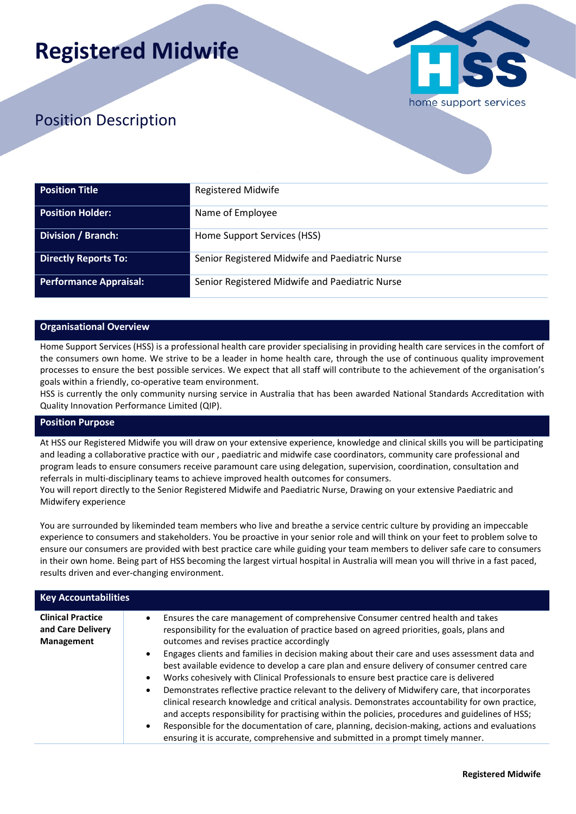# **Registered Midwife**



## Position Description

| <b>Position Title</b>         | <b>Registered Midwife</b>                      |
|-------------------------------|------------------------------------------------|
| <b>Position Holder:</b>       | Name of Employee                               |
| <b>Division / Branch:</b>     | Home Support Services (HSS)                    |
| <b>Directly Reports To:</b>   | Senior Registered Midwife and Paediatric Nurse |
| <b>Performance Appraisal:</b> | Senior Registered Midwife and Paediatric Nurse |

#### **Organisational Overview**

Home Support Services (HSS) is a professional health care provider specialising in providing health care services in the comfort of the consumers own home. We strive to be a leader in home health care, through the use of continuous quality improvement processes to ensure the best possible services. We expect that all staff will contribute to the achievement of the organisation's goals within a friendly, co-operative team environment.

HSS is currently the only community nursing service in Australia that has been awarded National Standards Accreditation with Quality Innovation Performance Limited (QIP).

#### **Position Purpose**

At HSS our Registered Midwife you will draw on your extensive experience, knowledge and clinical skills you will be participating and leading a collaborative practice with our , paediatric and midwife case coordinators, community care professional and program leads to ensure consumers receive paramount care using delegation, supervision, coordination, consultation and referrals in multi-disciplinary teams to achieve improved health outcomes for consumers.

You will report directly to the Senior Registered Midwife and Paediatric Nurse, Drawing on your extensive Paediatric and Midwifery experience

You are surrounded by likeminded team members who live and breathe a service centric culture by providing an impeccable experience to consumers and stakeholders. You be proactive in your senior role and will think on your feet to problem solve to ensure our consumers are provided with best practice care while guiding your team members to deliver safe care to consumers in their own home. Being part of HSS becoming the largest virtual hospital in Australia will mean you will thrive in a fast paced, results driven and ever-changing environment.

| <b>Key Accountabilities</b>                                 |                                                                                                                                                                                                                                                                                                                                                                                                                                                                                                                                                                                                                                                                                                                            |  |
|-------------------------------------------------------------|----------------------------------------------------------------------------------------------------------------------------------------------------------------------------------------------------------------------------------------------------------------------------------------------------------------------------------------------------------------------------------------------------------------------------------------------------------------------------------------------------------------------------------------------------------------------------------------------------------------------------------------------------------------------------------------------------------------------------|--|
| <b>Clinical Practice</b><br>and Care Delivery<br>Management | Ensures the care management of comprehensive Consumer centred health and takes<br>$\bullet$<br>responsibility for the evaluation of practice based on agreed priorities, goals, plans and<br>outcomes and revises practice accordingly<br>Engages clients and families in decision making about their care and uses assessment data and<br>$\bullet$                                                                                                                                                                                                                                                                                                                                                                       |  |
|                                                             | best available evidence to develop a care plan and ensure delivery of consumer centred care<br>Works cohesively with Clinical Professionals to ensure best practice care is delivered<br>$\bullet$<br>Demonstrates reflective practice relevant to the delivery of Midwifery care, that incorporates<br>$\bullet$<br>clinical research knowledge and critical analysis. Demonstrates accountability for own practice,<br>and accepts responsibility for practising within the policies, procedures and guidelines of HSS;<br>Responsible for the documentation of care, planning, decision-making, actions and evaluations<br>$\bullet$<br>ensuring it is accurate, comprehensive and submitted in a prompt timely manner. |  |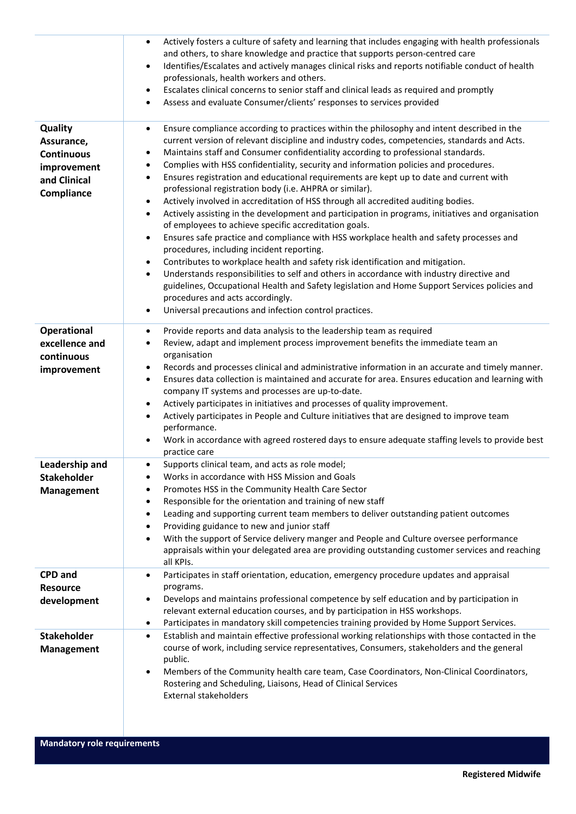|                                                                                         | Actively fosters a culture of safety and learning that includes engaging with health professionals<br>and others, to share knowledge and practice that supports person-centred care<br>Identifies/Escalates and actively manages clinical risks and reports notifiable conduct of health<br>$\bullet$<br>professionals, health workers and others.<br>Escalates clinical concerns to senior staff and clinical leads as required and promptly<br>$\bullet$<br>Assess and evaluate Consumer/clients' responses to services provided<br>٠                                                                                                                                                                                                                                                                                                                                                                                                                                                                                                                                                                                                                                                                                                                                                                                                                                                         |
|-----------------------------------------------------------------------------------------|-------------------------------------------------------------------------------------------------------------------------------------------------------------------------------------------------------------------------------------------------------------------------------------------------------------------------------------------------------------------------------------------------------------------------------------------------------------------------------------------------------------------------------------------------------------------------------------------------------------------------------------------------------------------------------------------------------------------------------------------------------------------------------------------------------------------------------------------------------------------------------------------------------------------------------------------------------------------------------------------------------------------------------------------------------------------------------------------------------------------------------------------------------------------------------------------------------------------------------------------------------------------------------------------------------------------------------------------------------------------------------------------------|
| Quality<br>Assurance,<br><b>Continuous</b><br>improvement<br>and Clinical<br>Compliance | Ensure compliance according to practices within the philosophy and intent described in the<br>٠<br>current version of relevant discipline and industry codes, competencies, standards and Acts.<br>Maintains staff and Consumer confidentiality according to professional standards.<br>٠<br>Complies with HSS confidentiality, security and information policies and procedures.<br>٠<br>Ensures registration and educational requirements are kept up to date and current with<br>٠<br>professional registration body (i.e. AHPRA or similar).<br>Actively involved in accreditation of HSS through all accredited auditing bodies.<br>$\bullet$<br>Actively assisting in the development and participation in programs, initiatives and organisation<br>$\bullet$<br>of employees to achieve specific accreditation goals.<br>Ensures safe practice and compliance with HSS workplace health and safety processes and<br>$\bullet$<br>procedures, including incident reporting.<br>Contributes to workplace health and safety risk identification and mitigation.<br>$\bullet$<br>Understands responsibilities to self and others in accordance with industry directive and<br>$\bullet$<br>guidelines, Occupational Health and Safety legislation and Home Support Services policies and<br>procedures and acts accordingly.<br>Universal precautions and infection control practices.<br>٠ |
| Operational<br>excellence and<br>continuous<br>improvement                              | Provide reports and data analysis to the leadership team as required<br>٠<br>Review, adapt and implement process improvement benefits the immediate team an<br>$\bullet$<br>organisation<br>Records and processes clinical and administrative information in an accurate and timely manner.<br>$\bullet$<br>Ensures data collection is maintained and accurate for area. Ensures education and learning with<br>company IT systems and processes are up-to-date.<br>Actively participates in initiatives and processes of quality improvement.<br>٠<br>Actively participates in People and Culture initiatives that are designed to improve team<br>$\bullet$<br>performance.<br>Work in accordance with agreed rostered days to ensure adequate staffing levels to provide best<br>practice care                                                                                                                                                                                                                                                                                                                                                                                                                                                                                                                                                                                               |
| Leadership and<br><b>Stakeholder</b><br><b>Management</b>                               | Supports clinical team, and acts as role model;<br>Works in accordance with HSS Mission and Goals<br>$\bullet$<br>Promotes HSS in the Community Health Care Sector<br>Responsible for the orientation and training of new staff<br>٠<br>Leading and supporting current team members to deliver outstanding patient outcomes<br>٠<br>Providing guidance to new and junior staff<br>٠<br>With the support of Service delivery manger and People and Culture oversee performance<br>$\bullet$<br>appraisals within your delegated area are providing outstanding customer services and reaching<br>all KPIs.                                                                                                                                                                                                                                                                                                                                                                                                                                                                                                                                                                                                                                                                                                                                                                                       |
| <b>CPD</b> and<br><b>Resource</b><br>development                                        | Participates in staff orientation, education, emergency procedure updates and appraisal<br>٠<br>programs.<br>Develops and maintains professional competence by self education and by participation in<br>٠<br>relevant external education courses, and by participation in HSS workshops.<br>Participates in mandatory skill competencies training provided by Home Support Services.<br>$\bullet$                                                                                                                                                                                                                                                                                                                                                                                                                                                                                                                                                                                                                                                                                                                                                                                                                                                                                                                                                                                              |
| <b>Stakeholder</b><br><b>Management</b>                                                 | Establish and maintain effective professional working relationships with those contacted in the<br>$\bullet$<br>course of work, including service representatives, Consumers, stakeholders and the general<br>public.<br>Members of the Community health care team, Case Coordinators, Non-Clinical Coordinators,<br>٠<br>Rostering and Scheduling, Liaisons, Head of Clinical Services<br><b>External stakeholders</b>                                                                                                                                                                                                                                                                                                                                                                                                                                                                                                                                                                                                                                                                                                                                                                                                                                                                                                                                                                         |